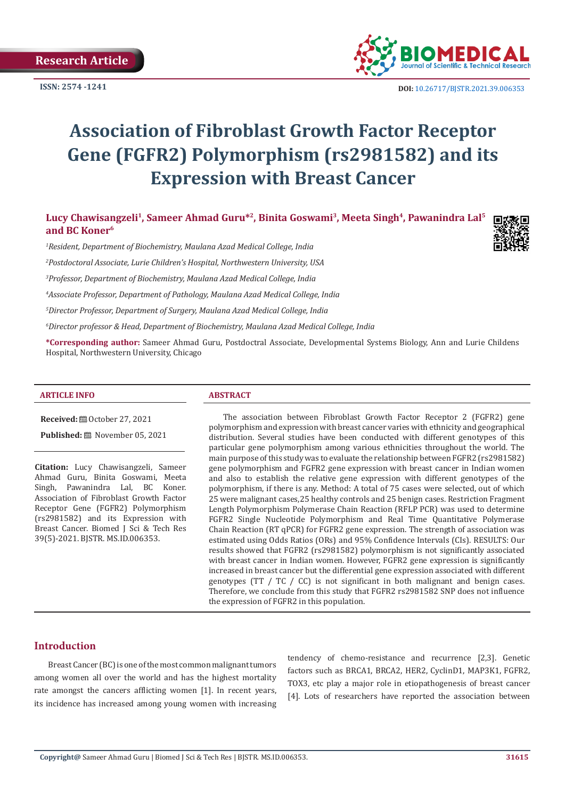

 **DOI:** [10.26717/BJSTR.2021.39.006353](https://dx.doi.org/10.26717/BJSTR.2021.39.006353)

# **Association of Fibroblast Growth Factor Receptor Gene (FGFR2) Polymorphism (rs2981582) and its Expression with Breast Cancer**

Lucy Chawisangzeli<sup>1</sup>, Sameer Ahmad Guru<sup>\*2</sup>, Binita Goswami<sup>3</sup>, Meeta Singh<sup>4</sup>, Pawanindra Lal<sup>5</sup> **and BC Koner6**

*1 Resident, Department of Biochemistry, Maulana Azad Medical College, India*

*2 Postdoctoral Associate, Lurie Children's Hospital, Northwestern University, USA*

*3 Professor, Department of Biochemistry, Maulana Azad Medical College, India*

*4 Associate Professor, Department of Pathology, Maulana Azad Medical College, India*

*5 Director Professor, Department of Surgery, Maulana Azad Medical College, India*

*6 Director professor & Head, Department of Biochemistry, Maulana Azad Medical College, India*

**\*Corresponding author:** Sameer Ahmad Guru, Postdoctral Associate, Developmental Systems Biology, Ann and Lurie Childens Hospital, Northwestern University, Chicago

#### **ARTICLE INFO ABSTRACT**

**Received:** ■ October 27, 2021

Published: **■** November 05, 2021

**Citation:** Lucy Chawisangzeli, Sameer Ahmad Guru, Binita Goswami, Meeta Singh, Pawanindra Lal, BC Koner. Association of Fibroblast Growth Factor Receptor Gene (FGFR2) Polymorphism (rs2981582) and its Expression with Breast Cancer. Biomed J Sci & Tech Res 39(5)-2021. BJSTR. MS.ID.006353.

The association between Fibroblast Growth Factor Receptor 2 (FGFR2) gene polymorphism and expression with breast cancer varies with ethnicity and geographical distribution. Several studies have been conducted with different genotypes of this particular gene polymorphism among various ethnicities throughout the world. The main purpose of this study was to evaluate the relationship between FGFR2 (rs2981582) gene polymorphism and FGFR2 gene expression with breast cancer in Indian women and also to establish the relative gene expression with different genotypes of the polymorphism, if there is any. Method: A total of 75 cases were selected, out of which 25 were malignant cases,25 healthy controls and 25 benign cases. Restriction Fragment Length Polymorphism Polymerase Chain Reaction (RFLP PCR) was used to determine FGFR2 Single Nucleotide Polymorphism and Real Time Quantitative Polymerase Chain Reaction (RT qPCR) for FGFR2 gene expression. The strength of association was estimated using Odds Ratios (ORs) and 95% Confidence Intervals (CIs). RESULTS: Our results showed that FGFR2 (rs2981582) polymorphism is not significantly associated with breast cancer in Indian women. However, FGFR2 gene expression is significantly increased in breast cancer but the differential gene expression associated with different genotypes (TT / TC / CC) is not significant in both malignant and benign cases. Therefore, we conclude from this study that FGFR2 rs2981582 SNP does not influence the expression of FGFR2 in this population.

# **Introduction**

Breast Cancer (BC) is one of the most common malignant tumors among women all over the world and has the highest mortality rate amongst the cancers afflicting women [1]. In recent years, its incidence has increased among young women with increasing

tendency of chemo-resistance and recurrence [2,3]. Genetic factors such as BRCA1, BRCA2, HER2, CyclinD1, MAP3K1, FGFR2, TOX3, etc play a major role in etiopathogenesis of breast cancer [4]. Lots of researchers have reported the association between

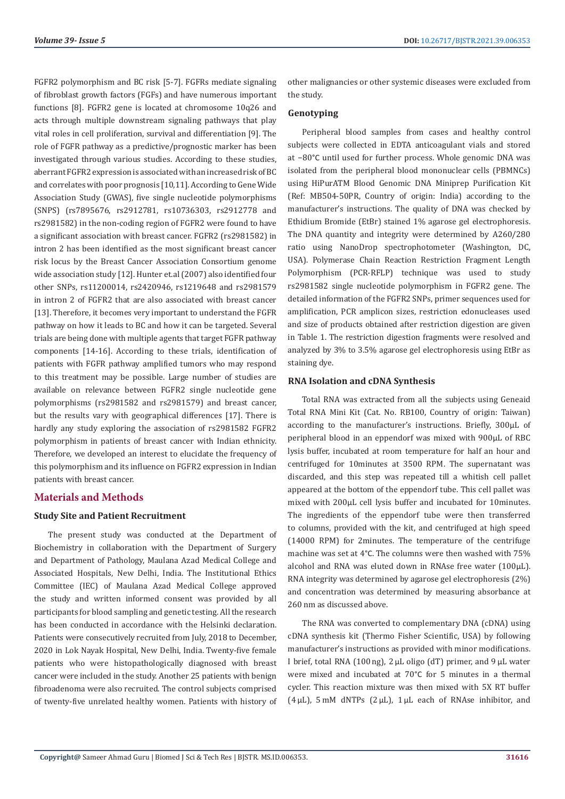FGFR2 polymorphism and BC risk [5-7]. FGFRs mediate signaling of fibroblast growth factors (FGFs) and have numerous important functions [8]. FGFR2 gene is located at chromosome 10q26 and acts through multiple downstream signaling pathways that play vital roles in cell proliferation, survival and differentiation [9]. The role of FGFR pathway as a predictive/prognostic marker has been investigated through various studies. According to these studies, aberrant FGFR2 expression is associated with an increased risk of BC and correlates with poor prognosis [10,11]. According to Gene Wide Association Study (GWAS), five single nucleotide polymorphisms (SNPS) (rs7895676, rs2912781, rs10736303, rs2912778 and rs2981582) in the non-coding region of FGFR2 were found to have a significant association with breast cancer. FGFR2 (rs2981582) in intron 2 has been identified as the most significant breast cancer risk locus by the Breast Cancer Association Consortium genome wide association study [12]. Hunter et.al (2007) also identified four other SNPs, rs11200014, rs2420946, rs1219648 and rs2981579 in intron 2 of FGFR2 that are also associated with breast cancer [13]. Therefore, it becomes very important to understand the FGFR pathway on how it leads to BC and how it can be targeted. Several trials are being done with multiple agents that target FGFR pathway components [14-16]. According to these trials, identification of patients with FGFR pathway amplified tumors who may respond to this treatment may be possible. Large number of studies are available on relevance between FGFR2 single nucleotide gene polymorphisms (rs2981582 and rs2981579) and breast cancer, but the results vary with geographical differences [17]. There is hardly any study exploring the association of rs2981582 FGFR2 polymorphism in patients of breast cancer with Indian ethnicity. Therefore, we developed an interest to elucidate the frequency of this polymorphism and its influence on FGFR2 expression in Indian patients with breast cancer.

### **Materials and Methods**

#### **Study Site and Patient Recruitment**

The present study was conducted at the Department of Biochemistry in collaboration with the Department of Surgery and Department of Pathology, Maulana Azad Medical College and Associated Hospitals, New Delhi, India. The Institutional Ethics Committee (IEC) of Maulana Azad Medical College approved the study and written informed consent was provided by all participants for blood sampling and genetic testing. All the research has been conducted in accordance with the Helsinki declaration. Patients were consecutively recruited from July, 2018 to December, 2020 in Lok Nayak Hospital, New Delhi, India. Twenty-five female patients who were histopathologically diagnosed with breast cancer were included in the study. Another 25 patients with benign fibroadenoma were also recruited. The control subjects comprised of twenty-five unrelated healthy women. Patients with history of other malignancies or other systemic diseases were excluded from the study.

### **Genotyping**

Peripheral blood samples from cases and healthy control subjects were collected in EDTA anticoagulant vials and stored at −80°C until used for further process. Whole genomic DNA was isolated from the peripheral blood mononuclear cells (PBMNCs) using HiPurATM Blood Genomic DNA Miniprep Purification Kit (Ref: MB504-50PR, Country of origin: India) according to the manufacturer's instructions. The quality of DNA was checked by Ethidium Bromide (EtBr) stained 1% agarose gel electrophoresis. The DNA quantity and integrity were determined by A260/280 ratio using NanoDrop spectrophotometer (Washington, DC, USA). Polymerase Chain Reaction Restriction Fragment Length Polymorphism (PCR-RFLP) technique was used to study rs2981582 single nucleotide polymorphism in FGFR2 gene. The detailed information of the FGFR2 SNPs, primer sequences used for amplification, PCR amplicon sizes, restriction edonucleases used and size of products obtained after restriction digestion are given in Table 1. The restriction digestion fragments were resolved and analyzed by 3% to 3.5% agarose gel electrophoresis using EtBr as staining dye.

#### **RNA Isolation and cDNA Synthesis**

Total RNA was extracted from all the subjects using Geneaid Total RNA Mini Kit (Cat. No. RB100, Country of origin: Taiwan) according to the manufacturer's instructions. Briefly, 300µL of peripheral blood in an eppendorf was mixed with 900µL of RBC lysis buffer, incubated at room temperature for half an hour and centrifuged for 10minutes at 3500 RPM. The supernatant was discarded, and this step was repeated till a whitish cell pallet appeared at the bottom of the eppendorf tube. This cell pallet was mixed with 200µL cell lysis buffer and incubated for 10minutes. The ingredients of the eppendorf tube were then transferred to columns, provided with the kit, and centrifuged at high speed (14000 RPM) for 2minutes. The temperature of the centrifuge machine was set at 4°C. The columns were then washed with 75% alcohol and RNA was eluted down in RNAse free water (100µL). RNA integrity was determined by agarose gel electrophoresis (2%) and concentration was determined by measuring absorbance at 260 nm as discussed above.

The RNA was converted to complementary DNA (cDNA) using cDNA synthesis kit (Thermo Fisher Scientific, USA) by following manufacturer's instructions as provided with minor modifications. I brief, total RNA (100 ng),  $2 \mu L$  oligo (dT) primer, and  $9 \mu L$  water were mixed and incubated at 70°C for 5 minutes in a thermal cycler. This reaction mixture was then mixed with 5X RT buffer (4 $\mu$ L), 5 mM dNTPs (2 $\mu$ L), 1 $\mu$ L each of RNAse inhibitor, and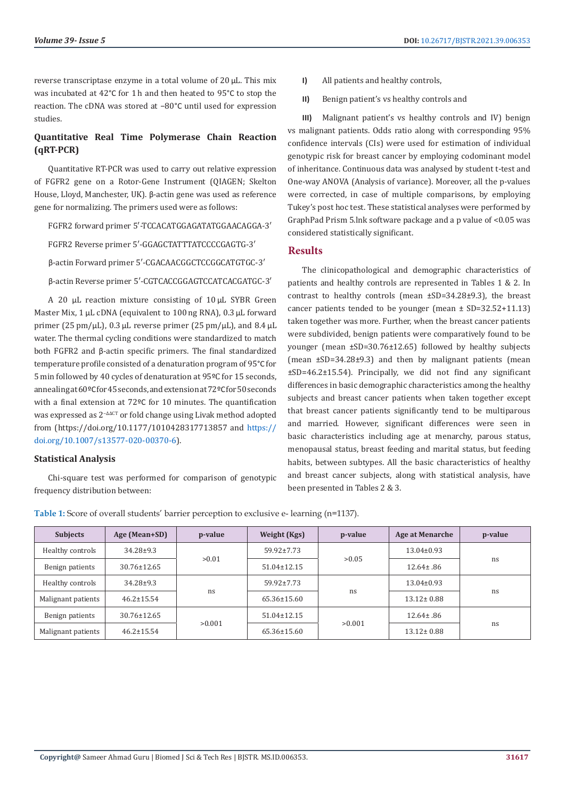reverse transcriptase enzyme in a total volume of 20 µL. This mix was incubated at 42°C for 1 h and then heated to 95°C to stop the reaction. The cDNA was stored at −80°C until used for expression studies.

# **Quantitative Real Time Polymerase Chain Reaction (qRT-PCR)**

Quantitative RT-PCR was used to carry out relative expression of FGFR2 gene on a Rotor-Gene Instrument (QIAGEN; Skelton House, Lloyd, Manchester, UK). β-actin gene was used as reference gene for normalizing. The primers used were as follows:

FGFR2 forward primer 5′-TCCACATGGAGATATGGAACAGGA-3′

FGFR2 Reverse primer 5′-GGAGCTATTTATCCCCGAGTG-3′

β-actin Forward primer 5′-CGACAACGGCTCCGGCATGTGC-3′

β-actin Reverse primer 5′-CGTCACCGGAGTCCATCACGATGC-3′

A 20 µL reaction mixture consisting of 10 µL SYBR Green Master Mix, 1<sub>µL</sub> cDNA (equivalent to 100 ng RNA), 0.3 µL forward primer (25 pm/µL), 0.3 µL reverse primer (25 pm/µL), and 8.4 µL water. The thermal cycling conditions were standardized to match both FGFR2 and β-actin specific primers. The final standardized temperature profile consisted of a denaturation program of 95°C for 5 min followed by 40 cycles of denaturation at 95ºC for 15 seconds, annealing at 60ºC for 45 seconds, and extension at 72ºC for 50 seconds with a final extension at 72ºC for 10 minutes. The quantification was expressed as 2<sup>−∆∆CT</sup> or fold change using Livak method adopted from (https://doi.org/10.1177/1010428317713857 and [https://](https://doi.org/10.1007/s13577-020-00370-6) [doi.org/10.1007/s13577-020-00370-6](https://doi.org/10.1007/s13577-020-00370-6)).

### **Statistical Analysis**

Chi-square test was performed for comparison of genotypic frequency distribution between:

- **I)** All patients and healthy controls,
- **II)** Benign patient's vs healthy controls and

**III)** Malignant patient's vs healthy controls and IV) benign vs malignant patients. Odds ratio along with corresponding 95% confidence intervals (CIs) were used for estimation of individual genotypic risk for breast cancer by employing codominant model of inheritance. Continuous data was analysed by student t-test and One-way ANOVA (Analysis of variance). Moreover, all the p-values were corrected, in case of multiple comparisons, by employing Tukey's post hoc test. These statistical analyses were performed by GraphPad Prism 5.lnk software package and a p value of <0.05 was considered statistically significant.

### **Results**

The clinicopathological and demographic characteristics of patients and healthy controls are represented in Tables 1 & 2. In contrast to healthy controls (mean ±SD=34.28±9.3), the breast cancer patients tended to be younger (mean ± SD=32.52+11.13) taken together was more. Further, when the breast cancer patients were subdivided, benign patients were comparatively found to be younger (mean ±SD=30.76±12.65) followed by healthy subjects (mean ±SD=34.28±9.3) and then by malignant patients (mean ±SD=46.2±15.54). Principally, we did not find any significant differences in basic demographic characteristics among the healthy subjects and breast cancer patients when taken together except that breast cancer patients significantly tend to be multiparous and married. However, significant differences were seen in basic characteristics including age at menarchy, parous status, menopausal status, breast feeding and marital status, but feeding habits, between subtypes. All the basic characteristics of healthy and breast cancer subjects, along with statistical analysis, have been presented in Tables 2 & 3.

**Table 1:** Score of overall students' barrier perception to exclusive e- learning (n=1137).

| <b>Subjects</b>    | Age (Mean+SD)     | p-value | Weight (Kgs)      | p-value | <b>Age at Menarche</b> | p-value |  |
|--------------------|-------------------|---------|-------------------|---------|------------------------|---------|--|
| Healthy controls   | $34.28 \pm 9.3$   | >0.01   | $59.92 \pm 7.73$  | > 0.05  | $13.04 \pm 0.93$       | ns      |  |
| Benign patients    | $30.76 \pm 12.65$ |         | 51.04±12.15       |         | $12.64 \pm .86$        |         |  |
| Healthy controls   | $34.28 \pm 9.3$   |         | $59.92 \pm 7.73$  | ns      | $13.04 \pm 0.93$       |         |  |
| Malignant patients | $46.2 \pm 15.54$  | ns      | $65.36 \pm 15.60$ |         | $13.12 \pm 0.88$       | ns      |  |
| Benign patients    | 30.76±12.65       |         | $51.04 \pm 12.15$ |         | $12.64 \pm .86$        |         |  |
| Malignant patients | $46.2 \pm 15.54$  | > 0.001 | 65.36±15.60       | >0.001  | $13.12 \pm 0.88$       | ns      |  |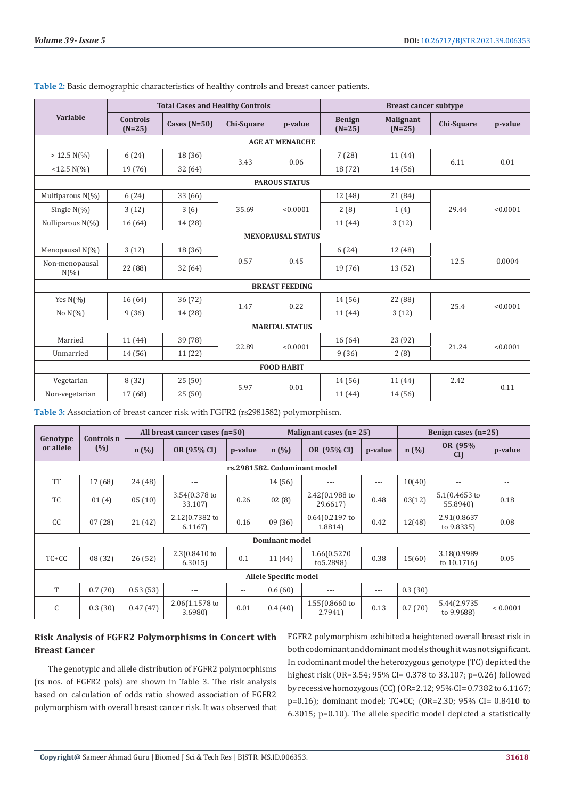|                            |                             | <b>Total Cases and Healthy Controls</b> |            |          | <b>Breast cancer subtype</b> |                              |            |          |  |
|----------------------------|-----------------------------|-----------------------------------------|------------|----------|------------------------------|------------------------------|------------|----------|--|
| <b>Variable</b>            | <b>Controls</b><br>$(N=25)$ | Cases $(N=50)$                          | Chi-Square | p-value  | <b>Benign</b><br>$(N=25)$    | <b>Malignant</b><br>$(N=25)$ | Chi-Square | p-value  |  |
| <b>AGE AT MENARCHE</b>     |                             |                                         |            |          |                              |                              |            |          |  |
| $> 12.5 N(\%)$             | 6(24)                       | 18 (36)                                 |            |          | 7(28)                        | 11(44)                       | 6.11       | 0.01     |  |
| $<$ 12.5 N(%)              | 19 (76)                     | 32 (64)                                 | 3.43       | 0.06     | 18 (72)                      | 14 (56)                      |            |          |  |
| <b>PAROUS STATUS</b>       |                             |                                         |            |          |                              |                              |            |          |  |
| Multiparous N(%)           | 6(24)                       | 33 (66)                                 |            |          | 12 (48)                      | 21 (84)                      |            |          |  |
| Single $N(\%)$             | 3(12)                       | 3(6)                                    | 35.69      | < 0.0001 | 2(8)                         | 1(4)                         | 29.44      | < 0.0001 |  |
| Nulliparous N(%)           | 16(64)                      | 14 (28)                                 |            |          | 11 (44)                      | 3(12)                        |            |          |  |
| <b>MENOPAUSAL STATUS</b>   |                             |                                         |            |          |                              |                              |            |          |  |
| Menopausal N(%)            | 3(12)                       | 18 (36)                                 |            |          |                              | 6(24)                        | 12(48)     |          |  |
| Non-menopausal<br>$N(\% )$ | 22 (88)                     | 32(64)                                  | 0.57       | 0.45     | 19 (76)                      | 13(52)                       | 12.5       | 0.0004   |  |
| <b>BREAST FEEDING</b>      |                             |                                         |            |          |                              |                              |            |          |  |
| Yes $N(\% )$               | 16(64)                      | 36(72)                                  |            |          | 14 (56)                      | 22 (88)                      |            |          |  |
| No $N(\%)$                 | 9(36)                       | 14 (28)                                 | 1.47       | 0.22     | 11 (44)                      | 3(12)                        | 25.4       | < 0.0001 |  |
| <b>MARITAL STATUS</b>      |                             |                                         |            |          |                              |                              |            |          |  |
| Married                    | 11 (44)                     | 39 (78)                                 |            | < 0.0001 | 16(64)                       | 23 (92)                      | 21.24      | < 0.0001 |  |
| Unmarried                  | 14 (56)                     | 11 (22)                                 | 22.89      |          | 9(36)                        | 2(8)                         |            |          |  |
| <b>FOOD HABIT</b>          |                             |                                         |            |          |                              |                              |            |          |  |
| Vegetarian                 | 8(32)                       | 25(50)                                  | 5.97       | 0.01     | 14 (56)                      | 11(44)                       | 2.42       | 0.11     |  |
| Non-vegetarian             | 17 (68)                     | 25 (50)                                 |            |          | 11 (44)                      | 14 (56)                      |            |          |  |

**Table 2:** Basic demographic characteristics of healthy controls and breast cancer patients.

| Table 3: Association of breast cancer risk with FGFR2 (rs2981582) polymorphism. |  |
|---------------------------------------------------------------------------------|--|
|---------------------------------------------------------------------------------|--|

| Controls n                   |         | All breast cancer cases (n=50) |                          |                          | Malignant cases $(n=25)$ |                             |       | Benign cases $(n=25)$    |                              |              |
|------------------------------|---------|--------------------------------|--------------------------|--------------------------|--------------------------|-----------------------------|-------|--------------------------|------------------------------|--------------|
| Genotype<br>or allele<br>(%) | n(%)    | OR (95% CI)                    | p-value                  | n(%)                     | OR (95% CI)              | p-value                     | n(%)  | OR (95%)<br>$\mathbf{C}$ | p-value                      |              |
| rs.2981582. Codominant model |         |                                |                          |                          |                          |                             |       |                          |                              |              |
| <b>TT</b>                    | 17 (68) | 24 (48)                        | $---$                    |                          | 14 (56)                  | ---                         | $---$ | 10(40)                   | $-$                          | $ -$         |
| <b>TC</b>                    | 01(4)   | 05(10)                         | 3.54(0.378 to<br>33.107) | 0.26                     | 02(8)                    | 2.42(0.1988 to<br>29.6617)  | 0.48  | 03(12)                   | $5.1(0.4653)$ to<br>55.8940) | 0.18         |
| cc                           | 07(28)  | 21(42)                         | 2.12(0.7382 to<br>6.1167 | 0.16                     | 09(36)                   | $0.64(0.2197)$ to<br>1.8814 | 0.42  | 12(48)                   | 2.91(0.8637<br>to 9.8335)    | 0.08         |
| <b>Dominant model</b>        |         |                                |                          |                          |                          |                             |       |                          |                              |              |
| $TC+CC$                      | 08(32)  | 26(52)                         | 2.3(0.8410 to<br>6.3015  | 0.1                      | 11 (44)                  | 1.66(0.5270<br>to 5.2898)   | 0.38  | 15(60)                   | 3.18(0.9989<br>to 10.1716)   | 0.05         |
| <b>Allele Specific model</b> |         |                                |                          |                          |                          |                             |       |                          |                              |              |
| T                            | 0.7(70) | 0.53(53)                       | $---$                    | $\overline{\phantom{m}}$ | 0.6(60)                  | ---                         | $---$ | 0.3(30)                  |                              |              |
| C                            | 0.3(30) | 0.47(47)                       | 2.06(1.1578 to<br>3.6980 | 0.01                     | 0.4(40)                  | 1.55(0.8660 to<br>2.7941    | 0.13  | 0.7(70)                  | 5.44(2.9735<br>to 9.9688)    | ${}< 0.0001$ |

# **Risk Analysis of FGFR2 Polymorphisms in Concert with Breast Cancer**

The genotypic and allele distribution of FGFR2 polymorphisms (rs nos. of FGFR2 pols) are shown in Table 3. The risk analysis based on calculation of odds ratio showed association of FGFR2 polymorphism with overall breast cancer risk. It was observed that FGFR2 polymorphism exhibited a heightened overall breast risk in both codominant and dominant models though it was not significant. In codominant model the heterozygous genotype (TC) depicted the highest risk (OR=3.54; 95% CI= 0.378 to 33.107; p=0.26) followed by recessive homozygous (CC) (OR=2.12; 95% CI= 0.7382 to 6.1167; p=0.16); dominant model; TC+CC; (OR=2.30; 95% CI= 0.8410 to 6.3015; p=0.10). The allele specific model depicted a statistically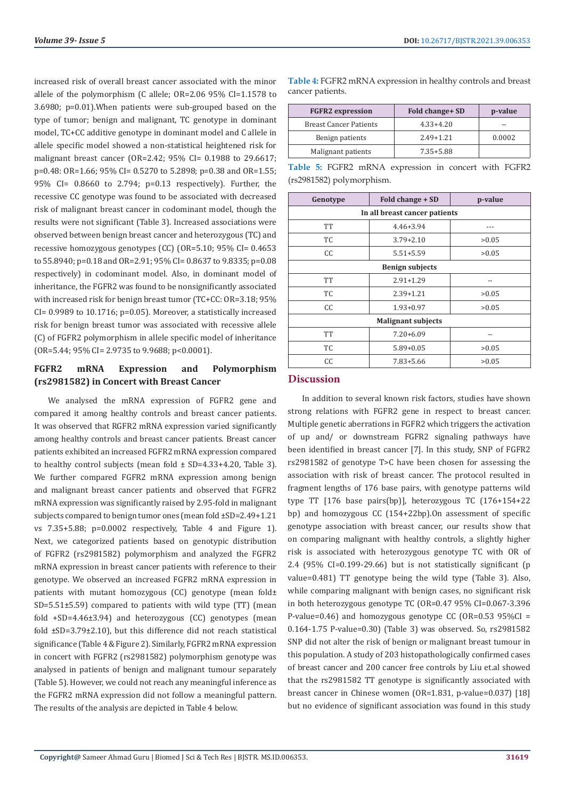increased risk of overall breast cancer associated with the minor allele of the polymorphism (C allele; OR=2.06 95% CI=1.1578 to 3.6980; p=0.01).When patients were sub-grouped based on the type of tumor; benign and malignant, TC genotype in dominant model, TC+CC additive genotype in dominant model and C allele in allele specific model showed a non-statistical heightened risk for malignant breast cancer (OR=2.42; 95% CI= 0.1988 to 29.6617; p=0.48: OR=1.66; 95% CI= 0.5270 to 5.2898; p=0.38 and OR=1.55; 95% CI= 0.8660 to 2.794; p=0.13 respectively). Further, the recessive CC genotype was found to be associated with decreased risk of malignant breast cancer in codominant model, though the results were not significant (Table 3). Increased associations were observed between benign breast cancer and heterozygous (TC) and recessive homozygous genotypes (CC) (OR=5.10; 95% CI= 0.4653 to 55.8940; p=0.18 and OR=2.91; 95% CI= 0.8637 to 9.8335; p=0.08 respectively) in codominant model. Also, in dominant model of inheritance, the FGFR2 was found to be nonsignificantly associated with increased risk for benign breast tumor (TC+CC: OR=3.18; 95% CI= 0.9989 to 10.1716; p=0.05). Moreover, a statistically increased risk for benign breast tumor was associated with recessive allele (C) of FGFR2 polymorphism in allele specific model of inheritance (OR=5.44; 95% CI= 2.9735 to 9.9688; p<0.0001).

# **FGFR2 mRNA Expression and Polymorphism (rs2981582) in Concert with Breast Cancer**

We analysed the mRNA expression of FGFR2 gene and compared it among healthy controls and breast cancer patients. It was observed that RGFR2 mRNA expression varied significantly among healthy controls and breast cancer patients. Breast cancer patients exhibited an increased FGFR2 mRNA expression compared to healthy control subjects (mean fold ± SD=4.33+4.20, Table 3). We further compared FGFR2 mRNA expression among benign and malignant breast cancer patients and observed that FGFR2 mRNA expression was significantly raised by 2.95-fold in malignant subjects compared to benign tumor ones (mean fold ±SD=2.49+1.21 vs 7.35+5.88; p=0.0002 respectively, Table 4 and Figure 1). Next, we categorized patients based on genotypic distribution of FGFR2 (rs2981582) polymorphism and analyzed the FGFR2 mRNA expression in breast cancer patients with reference to their genotype. We observed an increased FGFR2 mRNA expression in patients with mutant homozygous (CC) genotype (mean fold± SD=5.51±5.59) compared to patients with wild type (TT) (mean fold +SD=4.46±3.94) and heterozygous (CC) genotypes (mean fold ±SD=3.79±2.10), but this difference did not reach statistical significance (Table 4 & Figure 2). Similarly, FGFR2 mRNA expression in concert with FGFR2 (rs2981582) polymorphism genotype was analysed in patients of benign and malignant tumour separately (Table 5). However, we could not reach any meaningful inference as the FGFR2 mRNA expression did not follow a meaningful pattern. The results of the analysis are depicted in Table 4 below.

| <b>FGFR2</b> expression       | Fold change + SD | p-value |
|-------------------------------|------------------|---------|
| <b>Breast Cancer Patients</b> | $4.33 + 4.20$    | --      |
| Benign patients               | $2.49 + 1.21$    | 0.0002  |
| Malignant patients            | $7.35 + 5.88$    |         |

**Table 4:** FGFR2 mRNA expression in healthy controls and breast

**Table 5:** FGFR2 mRNA expression in concert with FGFR2 (rs2981582) polymorphism.

| Genotype                      | Fold change + SD | p-value |  |  |  |  |  |
|-------------------------------|------------------|---------|--|--|--|--|--|
| In all breast cancer patients |                  |         |  |  |  |  |  |
| TT                            | $4.46 + 3.94$    |         |  |  |  |  |  |
| TC                            | $3.79 + 2.10$    | >0.05   |  |  |  |  |  |
| CC                            | $5.51 + 5.59$    | >0.05   |  |  |  |  |  |
| <b>Benign subjects</b>        |                  |         |  |  |  |  |  |
| <b>TT</b>                     | $2.91 + 1.29$    |         |  |  |  |  |  |
| TC                            | $2.39 + 1.21$    | >0.05   |  |  |  |  |  |
| CC                            | $1.93 + 0.97$    | >0.05   |  |  |  |  |  |
| <b>Malignant subjects</b>     |                  |         |  |  |  |  |  |
| <b>TT</b>                     | $7.20 + 6.09$    | --      |  |  |  |  |  |
| TC                            | $5.89 + 0.05$    | >0.05   |  |  |  |  |  |
| CC                            | $7.83 + 5.66$    | >0.05   |  |  |  |  |  |

# **Discussion**

cancer patients.

In addition to several known risk factors, studies have shown strong relations with FGFR2 gene in respect to breast cancer. Multiple genetic aberrations in FGFR2 which triggers the activation of up and/ or downstream FGFR2 signaling pathways have been identified in breast cancer [7]. In this study, SNP of FGFR2 rs2981582 of genotype T>C have been chosen for assessing the association with risk of breast cancer. The protocol resulted in fragment lengths of 176 base pairs, with genotype patterns wild type TT [176 base pairs(bp)], heterozygous TC (176+154+22 bp) and homozygous CC (154+22bp).On assessment of specific genotype association with breast cancer, our results show that on comparing malignant with healthy controls, a slightly higher risk is associated with heterozygous genotype TC with OR of 2.4 (95% CI=0.199-29.66) but is not statistically significant (p value=0.481) TT genotype being the wild type (Table 3). Also, while comparing malignant with benign cases, no significant risk in both heterozygous genotype TC (OR=0.47 95% CI=0.067-3.396 P-value=0.46) and homozygous genotype CC (OR=0.53 95%CI = 0.164-1.75 P-value=0.30) (Table 3) was observed. So, rs2981582 SNP did not alter the risk of benign or malignant breast tumour in this population. A study of 203 histopathologically confirmed cases of breast cancer and 200 cancer free controls by Liu et.al showed that the rs2981582 TT genotype is significantly associated with breast cancer in Chinese women (OR=1.831, p-value=0.037) [18] but no evidence of significant association was found in this study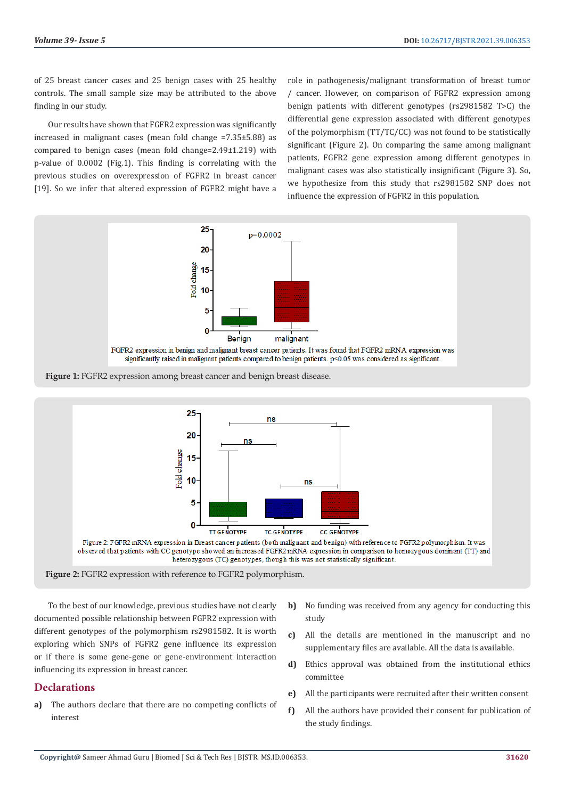of 25 breast cancer cases and 25 benign cases with 25 healthy controls. The small sample size may be attributed to the above finding in our study.

Our results have shown that FGFR2 expression was significantly increased in malignant cases (mean fold change =7.35±5.88) as compared to benign cases (mean fold change=2.49±1.219) with p-value of 0.0002 (Fig.1). This finding is correlating with the previous studies on overexpression of FGFR2 in breast cancer [19]. So we infer that altered expression of FGFR2 might have a

role in pathogenesis/malignant transformation of breast tumor / cancer. However, on comparison of FGFR2 expression among benign patients with different genotypes (rs2981582 T>C) the differential gene expression associated with different genotypes of the polymorphism (TT/TC/CC) was not found to be statistically significant (Figure 2). On comparing the same among malignant patients, FGFR2 gene expression among different genotypes in malignant cases was also statistically insignificant (Figure 3). So, we hypothesize from this study that rs2981582 SNP does not influence the expression of FGFR2 in this population.





**Figure 2:** FGFR2 expression with reference to FGFR2 polymorphism.

To the best of our knowledge, previous studies have not clearly documented possible relationship between FGFR2 expression with different genotypes of the polymorphism rs2981582. It is worth exploring which SNPs of FGFR2 gene influence its expression or if there is some gene-gene or gene-environment interaction influencing its expression in breast cancer.

# **Declarations**

- **a)** The authors declare that there are no competing conflicts of interest
- **b)** No funding was received from any agency for conducting this study
- **c)** All the details are mentioned in the manuscript and no supplementary files are available. All the data is available.
- **d)** Ethics approval was obtained from the institutional ethics committee
- **e)** All the participants were recruited after their written consent
- **f)** All the authors have provided their consent for publication of the study findings.